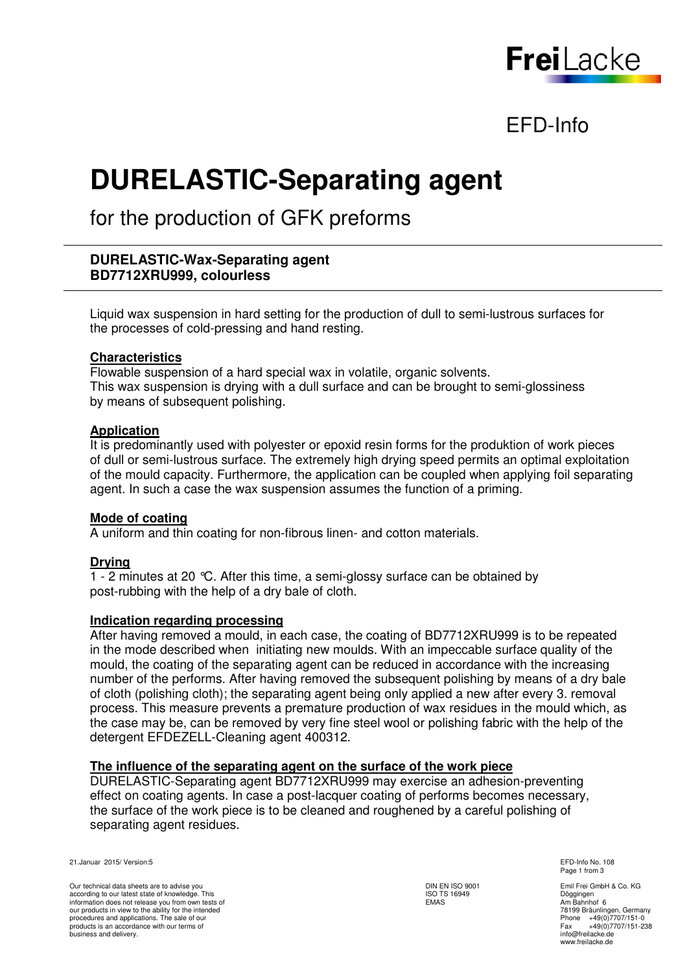

# EFD-Info

# **DURELASTIC-Separating agent**

for the production of GFK preforms

# **DURELASTIC-Wax-Separating agent BD7712XRU999, colourless**

 Liquid wax suspension in hard setting for the production of dull to semi-lustrous surfaces for the processes of cold-pressing and hand resting.

# **Characteristics**

 Flowable suspension of a hard special wax in volatile, organic solvents. This wax suspension is drying with a dull surface and can be brought to semi-glossiness by means of subsequent polishing.

# **Application**

 It is predominantly used with polyester or epoxid resin forms for the produktion of work pieces of dull or semi-lustrous surface. The extremely high drying speed permits an optimal exploitation of the mould capacity. Furthermore, the application can be coupled when applying foil separating agent. In such a case the wax suspension assumes the function of a priming.

#### **Mode of coating**

A uniform and thin coating for non-fibrous linen- and cotton materials.

#### **Drying**

 1 - 2 minutes at 20 °C. After this time, a semi-glossy surface can be obtained by post-rubbing with the help of a dry bale of cloth.

#### **Indication regarding processing**

 After having removed a mould, in each case, the coating of BD7712XRU999 is to be repeated in the mode described when initiating new moulds. With an impeccable surface quality of the mould, the coating of the separating agent can be reduced in accordance with the increasing number of the performs. After having removed the subsequent polishing by means of a dry bale of cloth (polishing cloth); the separating agent being only applied a new after every 3. removal process. This measure prevents a premature production of wax residues in the mould which, as the case may be, can be removed by very fine steel wool or polishing fabric with the help of the detergent EFDEZELL-Cleaning agent 400312.

#### **The influence of the separating agent on the surface of the work piece**

 DURELASTIC-Separating agent BD7712XRU999 may exercise an adhesion-preventing effect on coating agents. In case a post-lacquer coating of performs becomes necessary, the surface of the work piece is to be cleaned and roughened by a careful polishing of separating agent residues.

21.Januar 2015/ Version:5 EFD-Info No. 108

Our technical data sheets are to advise you according to our latest state of knowledge. This information does not release you from own tests of our products in view to the ability for the intended procedures and applications. The sale of our products is an accordance with our terms of business and delivery.

DIN EN ISO 9001 ISO TS 16949 EMAS

Page 1 from 3

Emil Frei GmbH & Co. KG Döggingen Am Bahnhof 6 78199 Bräunlingen, Germany Phone +49(0)7707/151-0 Fax +49(0)7707/151-238 Fax  $+49(0)7$ <br>info@freilacke.de www.freilacke.de